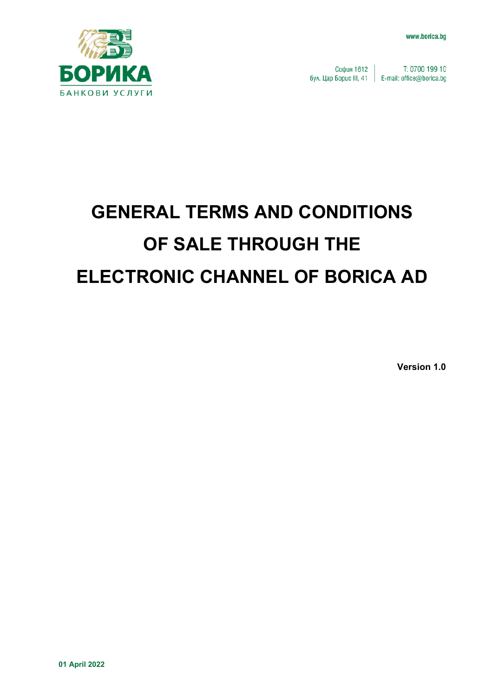

София 1612 | T: 0700 199 10 бул. Цар Борис III, 41 | E-mail: office@borica.bg

# **GENERAL TERMS AND CONDITIONS OF SALE THROUGH THE ELECTRONIC CHANNEL OF BORICA AD**

**Version 1.0**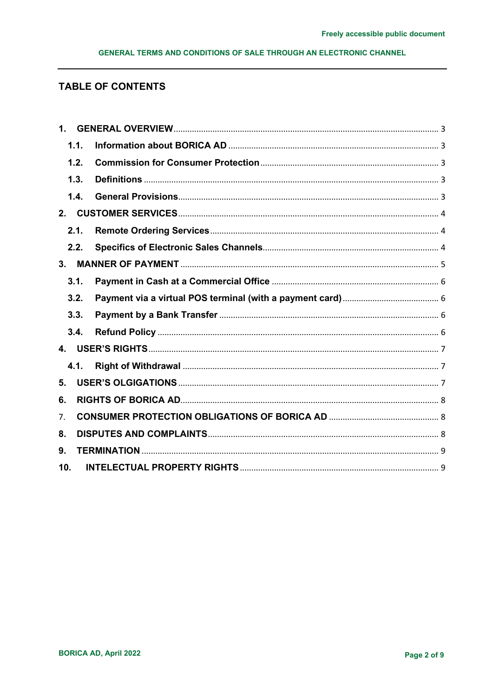#### GENERAL TERMS AND CONDITIONS OF SALE THROUGH AN ELECTRONIC CHANNEL

## **TABLE OF CONTENTS**

| $\mathbf 1$ |      |  |
|-------------|------|--|
|             | 1.1. |  |
|             | 1.2. |  |
|             | 1.3. |  |
|             | 1.4. |  |
| 2.          |      |  |
|             | 2.1. |  |
|             | 2.2. |  |
| 3.          |      |  |
|             | 3.1. |  |
|             | 3.2. |  |
|             | 3.3. |  |
|             | 3.4. |  |
|             |      |  |
|             | 4.1. |  |
| 5.          |      |  |
| 6.          |      |  |
| 7.          |      |  |
| 8.          |      |  |
| 9.          |      |  |
| 10.         |      |  |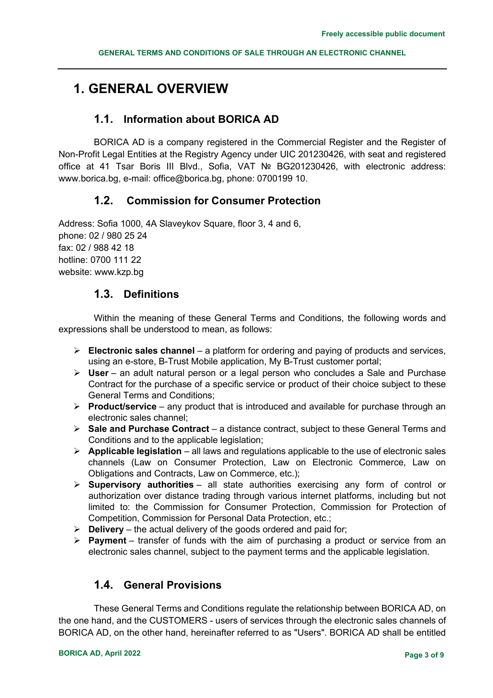# <span id="page-2-0"></span>**1. GENERAL OVERVIEW**

### **1.1. Information about BORICA AD**

<span id="page-2-1"></span>BORICA AD is a company registered in the Commercial Register and the Register of Non-Profit Legal Entities at the Registry Agency under UIC 201230426, with seat and registered office at 41 Tsar Boris III Blvd., Sofia, VAT № BG201230426, with electronic address: www.borica.bg, e-mail: office@borica.bg, phone: 0700199 10.

## <span id="page-2-2"></span>**1.2. Commission for Consumer Protection**

Address: Sofia 1000, 4A Slaveykov Square, floor 3, 4 and 6. phone: 02 / 980 25 24 fax: 02 / 988 42 18 hotline: 0700 111 22 website: www.kzp.bg

## **1.3. Definitions**

<span id="page-2-3"></span>Within the meaning of these General Terms and Conditions, the following words and expressions shall be understood to mean, as follows:

- **Electronic sales channel** a platform for ordering and paying of products and services, using an e-store, B-Trust Mobile application, My B-Trust customer portal;
- **User** an adult natural person or a legal person who concludes a Sale and Purchase Contract for the purchase of a specific service or product of their choice subject to these General Terms and Conditions;
- **Product/service** any product that is introduced and available for purchase through an electronic sales channel;
- **Sale and Purchase Contract** a distance contract, subject to these General Terms and Conditions and to the applicable legislation;
- **Applicable legislation** all laws and regulations applicable to the use of electronic sales channels (Law on Consumer Protection, Law on Electronic Commerce, Law on Obligations and Contracts, Law on Commerce, etc.);
- **Supervisory authorities** all state authorities exercising any form of control or authorization over distance trading through various internet platforms, including but not limited to: the Commission for Consumer Protection, Commission for Protection of Competition, Commission for Personal Data Protection, etc.;
- **Delivery** the actual delivery of the goods ordered and paid for;
- **Payment** transfer of funds with the aim of purchasing a product or service from an electronic sales channel, subject to the payment terms and the applicable legislation.

#### **1.4. General Provisions**

<span id="page-2-4"></span>These General Terms and Conditions regulate the relationship between BORICA AD, on the one hand, and the CUSTOMERS - users of services through the electronic sales channels of BORICA AD, on the other hand, hereinafter referred to as "Users". BORICA AD shall be entitled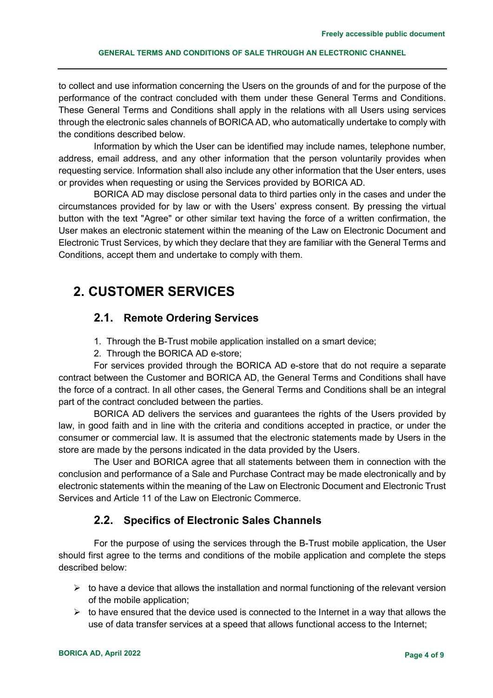#### **GENERAL TERMS AND CONDITIONS OF SALE THROUGH AN ELECTRONIC CHANNEL**

to collect and use information concerning the Users on the grounds of and for the purpose of the performance of the contract concluded with them under these General Terms and Conditions. These General Terms and Conditions shall apply in the relations with all Users using services through the electronic sales channels of BORICA AD, who automatically undertake to comply with the conditions described below.

Information by which the User can be identified may include names, telephone number, address, email address, and any other information that the person voluntarily provides when requesting service. Information shall also include any other information that the User enters, uses or provides when requesting or using the Services provided by BORICA AD.

BORICA AD may disclose personal data to third parties only in the cases and under the circumstances provided for by law or with the Users' express consent. By pressing the virtual button with the text "Agree" or other similar text having the force of a written confirmation, the User makes an electronic statement within the meaning of the Law on Electronic Document and Electronic Trust Services, by which they declare that they are familiar with the General Terms and Conditions, accept them and undertake to comply with them.

# <span id="page-3-1"></span><span id="page-3-0"></span>**2. CUSTOMER SERVICES**

## **2.1. Remote Ordering Services**

- 1. Through the B-Trust mobile application installed on a smart device;
- 2. Through the BORICA AD e-store;

For services provided through the BORICA AD e-store that do not require a separate contract between the Customer and BORICA AD, the General Terms and Conditions shall have the force of a contract. In all other cases, the General Terms and Conditions shall be an integral part of the contract concluded between the parties.

BORICA AD delivers the services and guarantees the rights of the Users provided by law, in good faith and in line with the criteria and conditions accepted in practice, or under the consumer or commercial law. It is assumed that the electronic statements made by Users in the store are made by the persons indicated in the data provided by the Users.

The User and BORICA agree that all statements between them in connection with the conclusion and performance of a Sale and Purchase Contract may be made electronically and by electronic statements within the meaning of the Law on Electronic Document and Electronic Trust Services and Article 11 of the Law on Electronic Commerce.

## **2.2. Specifics of Electronic Sales Channels**

<span id="page-3-2"></span>For the purpose of using the services through the B-Trust mobile application, the User should first agree to the terms and conditions of the mobile application and complete the steps described below:

- $\triangleright$  to have a device that allows the installation and normal functioning of the relevant version of the mobile application;
- $\triangleright$  to have ensured that the device used is connected to the Internet in a way that allows the use of data transfer services at a speed that allows functional access to the Internet;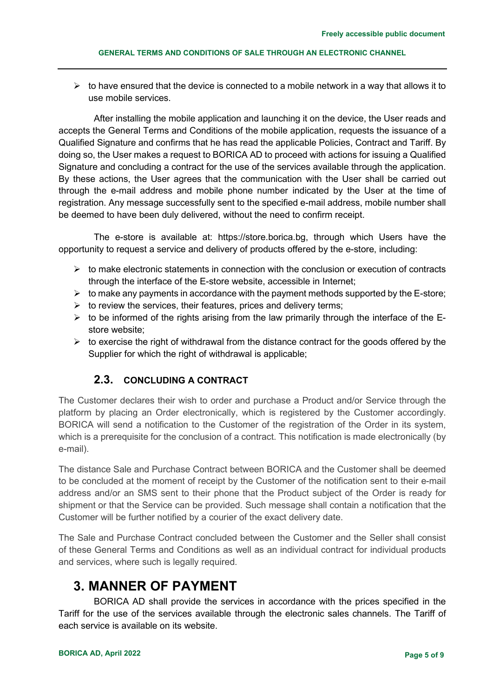$\triangleright$  to have ensured that the device is connected to a mobile network in a way that allows it to use mobile services.

After installing the mobile application and launching it on the device, the User reads and accepts the General Terms and Conditions of the mobile application, requests the issuance of a Qualified Signature and confirms that he has read the applicable Policies, Contract and Tariff. By doing so, the User makes a request to BORICA AD to proceed with actions for issuing a Qualified Signature and concluding a contract for the use of the services available through the application. By these actions, the User agrees that the communication with the User shall be carried out through the e-mail address and mobile phone number indicated by the User at the time of registration. Any message successfully sent to the specified e-mail address, mobile number shall be deemed to have been duly delivered, without the need to confirm receipt.

The e-store is available at: https://store.borica.bg, through which Users have the opportunity to request a service and delivery of products offered by the e-store, including:

- $\triangleright$  to make electronic statements in connection with the conclusion or execution of contracts through the interface of the E-store website, accessible in Internet;
- $\triangleright$  to make any payments in accordance with the payment methods supported by the E-store;
- $\triangleright$  to review the services, their features, prices and delivery terms;
- $\triangleright$  to be informed of the rights arising from the law primarily through the interface of the Estore website;
- $\triangleright$  to exercise the right of withdrawal from the distance contract for the goods offered by the Supplier for which the right of withdrawal is applicable;

#### **2.3. CONCLUDING A CONTRACT**

The Customer declares their wish to order and purchase a Product and/or Service through the platform by placing an Order electronically, which is registered by the Customer accordingly. BORICA will send a notification to the Customer of the registration of the Order in its system, which is a prerequisite for the conclusion of a contract. This notification is made electronically (by e-mail).

The distance Sale and Purchase Contract between BORICA and the Customer shall be deemed to be concluded at the moment of receipt by the Customer of the notification sent to their e-mail address and/or an SMS sent to their phone that the Product subject of the Order is ready for shipment or that the Service can be provided. Such message shall contain a notification that the Customer will be further notified by a courier of the exact delivery date.

The Sale and Purchase Contract concluded between the Customer and the Seller shall consist of these General Terms and Conditions as well as an individual contract for individual products and services, where such is legally required.

## <span id="page-4-0"></span>**3. MANNER OF PAYMENT**

BORICA AD shall provide the services in accordance with the prices specified in the Tariff for the use of the services available through the electronic sales channels. The Tariff of each service is available on its website.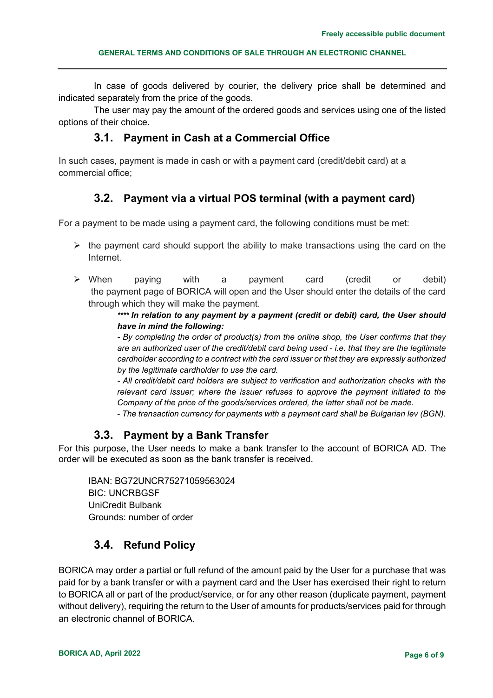In case of goods delivered by courier, the delivery price shall be determined and indicated separately from the price of the goods.

<span id="page-5-0"></span>The user may pay the amount of the ordered goods and services using one of the listed options of their choice.

#### **3.1. Payment in Cash at a Commercial Office**

In such cases, payment is made in cash or with a payment card (credit/debit card) at a commercial office;

## **3.2. Payment via a virtual POS terminal (with a payment card)**

<span id="page-5-1"></span>For a payment to be made using a payment card, the following conditions must be met:

- $\triangleright$  the payment card should support the ability to make transactions using the card on the Internet.
- When paying with a payment card (credit or debit) the payment page of BORICA will open and the User should enter the details of the card through which they will make the payment.

#### *\*\*\*\* In relation to any payment by a payment (credit or debit) card, the User should have in mind the following:*

*- By completing the order of product(s) from the online shop, the User confirms that they are an authorized user of the credit/debit card being used - i.e. that they are the legitimate cardholder according to a contract with the card issuer or that they are expressly authorized by the legitimate cardholder to use the card.*

*- All credit/debit card holders are subject to verification and authorization checks with the relevant card issuer; where the issuer refuses to approve the payment initiated to the Company of the price of the goods/services ordered, the latter shall not be made.*

*- The transaction currency for payments with a payment card shall be Bulgarian lev (BGN).*

#### **3.3. Payment by a Bank Transfer**

<span id="page-5-2"></span>For this purpose, the User needs to make a bank transfer to the account of BORICA AD. The order will be executed as soon as the bank transfer is received.

IBAN: BG72UNCR75271059563024 BIC: UNCRBGSF UniCredit Bulbank Grounds: number of order

#### **3.4. Refund Policy**

<span id="page-5-3"></span>BORICA may order a partial or full refund of the amount paid by the User for a purchase that was paid for by a bank transfer or with a payment card and the User has exercised their right to return to BORICA all or part of the product/service, or for any other reason (duplicate payment, payment without delivery), requiring the return to the User of amounts for products/services paid for through an electronic channel of BORICA.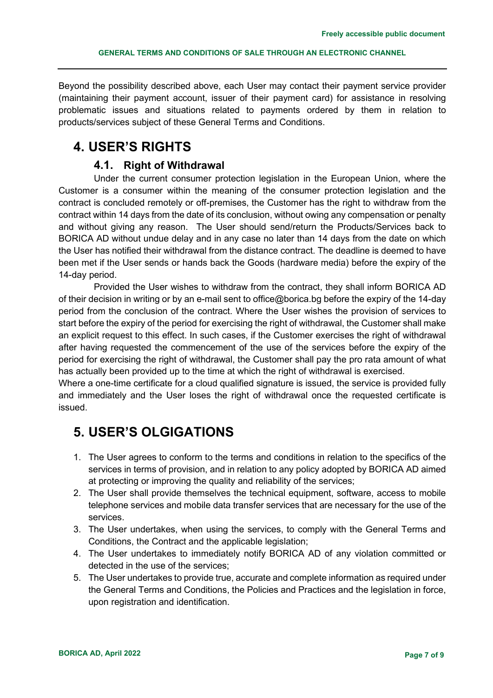Beyond the possibility described above, each User may contact their payment service provider (maintaining their payment account, issuer of their payment card) for assistance in resolving problematic issues and situations related to payments ordered by them in relation to products/services subject of these General Terms and Conditions.

## <span id="page-6-0"></span>**4. USER'S RIGHTS**

#### **4.1. Right of Withdrawal**

<span id="page-6-1"></span>Under the current consumer protection legislation in the European Union, where the Customer is a consumer within the meaning of the consumer protection legislation and the contract is concluded remotely or off-premises, the Customer has the right to withdraw from the contract within 14 days from the date of its conclusion, without owing any compensation or penalty and without giving any reason. The User should send/return the Products/Services back to BORICA AD without undue delay and in any case no later than 14 days from the date on which the User has notified their withdrawal from the distance contract. The deadline is deemed to have been met if the User sends or hands back the Goods (hardware media) before the expiry of the 14-day period.

Provided the User wishes to withdraw from the contract, they shall inform BORICA AD of their decision in writing or by an e-mail sent to office@borica.bg before the expiry of the 14-day period from the conclusion of the contract. Where the User wishes the provision of services to start before the expiry of the period for exercising the right of withdrawal, the Customer shall make an explicit request to this effect. In such cases, if the Customer exercises the right of withdrawal after having requested the commencement of the use of the services before the expiry of the period for exercising the right of withdrawal, the Customer shall pay the pro rata amount of what has actually been provided up to the time at which the right of withdrawal is exercised.

Where a one-time certificate for a cloud qualified signature is issued, the service is provided fully and immediately and the User loses the right of withdrawal once the requested certificate is issued.

# <span id="page-6-2"></span>**5. USER'S OLGIGATIONS**

- 1. The User agrees to conform to the terms and conditions in relation to the specifics of the services in terms of provision, and in relation to any policy adopted by BORICA AD aimed at protecting or improving the quality and reliability of the services;
- 2. The User shall provide themselves the technical equipment, software, access to mobile telephone services and mobile data transfer services that are necessary for the use of the services.
- 3. The User undertakes, when using the services, to comply with the General Terms and Conditions, the Contract and the applicable legislation;
- 4. The User undertakes to immediately notify BORICA AD of any violation committed or detected in the use of the services;
- 5. The User undertakes to provide true, accurate and complete information as required under the General Terms and Conditions, the Policies and Practices and the legislation in force, upon registration and identification.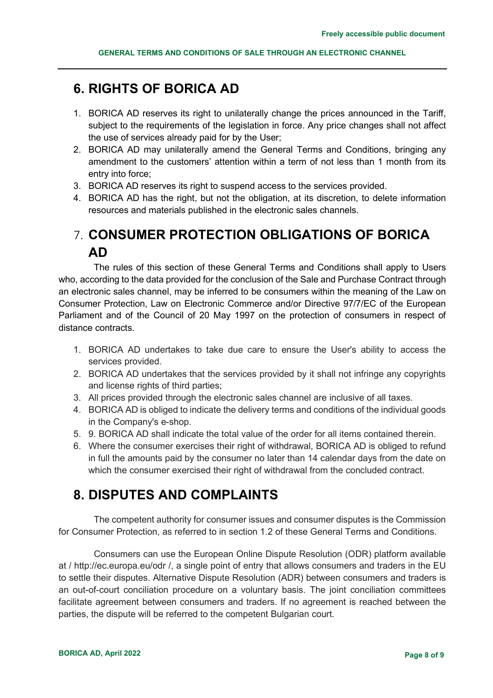# <span id="page-7-0"></span>**6. RIGHTS OF BORICA AD**

- 1. BORICA AD reserves its right to unilaterally change the prices announced in the Tariff, subject to the requirements of the legislation in force. Any price changes shall not affect the use of services already paid for by the User;
- 2. BORICA AD may unilaterally amend the General Terms and Conditions, bringing any amendment to the customers' attention within a term of not less than 1 month from its entry into force;
- 3. BORICA AD reserves its right to suspend access to the services provided.
- 4. BORICA AD has the right, but not the obligation, at its discretion, to delete information resources and materials published in the electronic sales channels.

# <span id="page-7-1"></span>7. **CONSUMER PROTECTION OBLIGATIONS OF BORICA AD**

The rules of this section of these General Terms and Conditions shall apply to Users who, according to the data provided for the conclusion of the Sale and Purchase Contract through an electronic sales channel, may be inferred to be consumers within the meaning of the Law on Consumer Protection, Law on Electronic Commerce and/or Directive 97/7/EC of the European Parliament and of the Council of 20 May 1997 on the protection of consumers in respect of distance contracts.

- 1. BORICA AD undertakes to take due care to ensure the User's ability to access the services provided.
- 2. BORICA AD undertakes that the services provided by it shall not infringe any copyrights and license rights of third parties;
- 3. All prices provided through the electronic sales channel are inclusive of all taxes.
- 4. BORICA AD is obliged to indicate the delivery terms and conditions of the individual goods in the Company's e-shop.
- 5. 9. BORICA AD shall indicate the total value of the order for all items contained therein.
- 6. Where the consumer exercises their right of withdrawal, BORICA AD is obliged to refund in full the amounts paid by the consumer no later than 14 calendar days from the date on which the consumer exercised their right of withdrawal from the concluded contract.

## <span id="page-7-2"></span>**8. DISPUTES AND COMPLAINTS**

The competent authority for consumer issues and consumer disputes is the Commission for Consumer Protection, as referred to in section 1.2 of these General Terms and Conditions.

Consumers can use the European Online Dispute Resolution (ODR) platform available at / http://ec.europa.eu/odr /, a single point of entry that allows consumers and traders in the EU to settle their disputes. Alternative Dispute Resolution (ADR) between consumers and traders is an out-of-court conciliation procedure on a voluntary basis. The joint conciliation committees facilitate agreement between consumers and traders. If no agreement is reached between the parties, the dispute will be referred to the competent Bulgarian court.